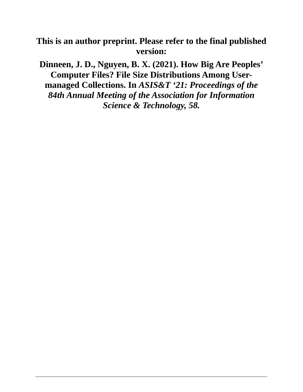# **This is an author preprint. Please refer to the final published version:**

**Dinneen, J. D., Nguyen, B. X. (2021). How Big Are Peoples' Computer Files? File Size Distributions Among Usermanaged Collections. In** *ASIS&T '21: Proceedings of the 84th Annual Meeting of the Association for Information Science & Technology, 58.*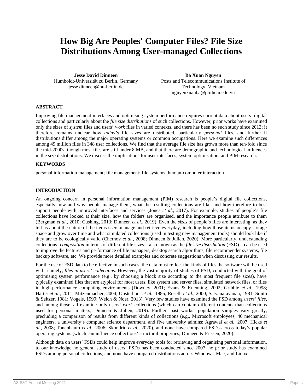# **How Big Are Peoples' Computer Files? File Size Distributions Among User-managed Collections**

**Jesse David Dinneen** Humboldt-Universität zu Berlin, Germany jesse.dinneen@hu-berlin.de

**Ba Xuan Nguyen** Posts and Telecommunications Institute of Technology, Vietnam nguyenxuanba@ptithcm.edu.vn

#### **ABSTRACT**

Improving file management interfaces and optimising system performance requires current data about users' digital collections and particularly about the *file size distributions* of such collections. However, prior works have examined only the sizes of *system* files and users' *work* files in varied contexts, and there has been no such study since 2013; it therefore remains unclear how *today's* file sizes are distributed, particularly *personal* files, and further if distributions differ among the major operating systems or common occupations. Here we examine such differences among 49 million files in 348 user collections. We find that the average file size has grown more than ten-fold since the mid-2000s, though most files are still under 8 MB, and that there are demographic and technological influences in the size distributions. We discuss the implications for user interfaces, system optimisation, and PIM research.

#### **KEYWORDS**

personal information management; file management; file systems; human-computer interaction

#### **INTRODUCTION**

An ongoing concern in personal information management (PIM) research is people's digital file collections, especially how and why people manage them, what the resulting collections are like, and how therefore to best support people with improved interfaces and services (Jones *et al.*, 2017). For example, studies of people's file collections have looked at their size, how the folders are organised, and the importance people attribute to them (Bergman *et al.,* 2010; Cushing, 2013; Dinneen *et al.*, 2019). Even the *sizes* of people's files are interesting, as they tell us about the nature of the items users manage and retrieve everyday, including how those items occupy storage space and grow over time and what simulated collections (used in testing new management tools) should look like if they are to be ecologically valid (Chernov *et al.*, 2008; Dinneen & Julien, 2020). More particularly, understanding collections' *composition* in terms of different file sizes – also known as the *file size distribution* (FSD) *–* can be used to improve the features and performance of file managers, desktop search algorithms, file recommender systems, file backup software, etc. We provide more detailed examples and concrete suggestions when discussing our results.

For the use of FSD data to be effective in such cases, the data must reflect the kinds of files the software will be used with, namely, *files in users' collections*. However, the vast majority of studies of FSD, conducted with the goal of optimising system performance (e.g., by choosing a block size according to the most frequent file sizes), have typically examined files that are atypical for most users, like system and server files, simulated network files, or files in high-performance computing environments (Downey, 2001; Evans & Kuenning, 2002; Gribble *et al.*, 1998; Harter *et al.*, 2011; Mitzenmacher, 2004; Ousterhout *et al.,* 1985; Roselli *et al.,* 2000; Satyanarayanan, 1981; Smith & Seltzer*,* 1981; Vogels, 1999; Welch & Noer, 2013). Very few studies have examined the FSD among *users' files*, and among those, all examine only users' *work* collections (which can contain different contents than collections used for personal matters; Dinneen & Julien, 2019). Further, past works' population samples vary greatly, precluding a comparison of results from different kinds of collections (e.g., Microsoft employees, 40 mechanical engineers, a university's computer science department, and five university admins; Agrawal *et al.*, 2007; Hicks *et al.*, 2008; Tanenbaum *et al.*, 2006; Skondric *et al.*, 2020), and none have compared FSDs across today's popular operating systems (which can influence collections' structural properties; Dinneen & Frissen, 2020).

Although data on users' FSDs could help improve everyday tools for retrieving and organising personal information, to our knowledge no general study of users' FSDs has been conducted since 2007, no prior study has examined FSDs among personal collections, and none have compared distributions across Windows, Mac, and Linux.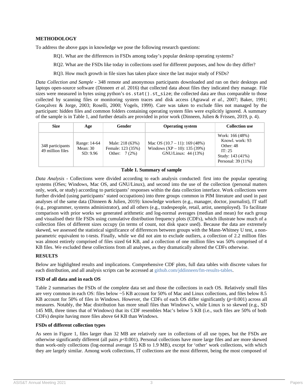### **METHODOLOGY**

To address the above gaps in knowledge we pose the following research questions:

RQ1. What are the differences in FSDs among today's popular desktop operating systems?

RQ2. What are the FSDs like today in collections used for different purposes, and how do they differ?

RQ3. How much growth in file sizes has taken place since the last major study of FSDs?

*Data Collection and Sample -* 348 remote and anonymous participants downloaded and ran on their desktops and laptops open-source software (Dinneen *et al.* 2016) that collected data about files they indicated they manage. File sizes were measured in bytes using python's  $os.stat() .st_size;$  the collected data are thus comparable to those collected by scanning files or monitoring system traces and disk access (Agrawal *et al.*, 2007; Baker, 1991; Gonçalvez & Jorge, 2003; Roselli, 2000; Vogels, 1999). Care was taken to exclude files not managed by the participant: hidden files and common folders containing operating system files were explicitly ignored. A summary of the sample is in Table 1, and further details are provided in prior work (Dinneen, Julien & Frissen, 2019, p. 4).

| <b>Size</b>                          | Age                                  | Gender                                                 | <b>Operating system</b>                                                                      | <b>Collection use</b>                                                                               |
|--------------------------------------|--------------------------------------|--------------------------------------------------------|----------------------------------------------------------------------------------------------|-----------------------------------------------------------------------------------------------------|
| 348 participants<br>49 million files | Range: 14-64<br>Mean: 30<br>SD: 9.96 | Male: 218 (63%)<br>Female: 123 (35%)<br>Other: $7(2%)$ | Mac OS $(10.7 – 11)$ : 169 $(48%)$<br>Windows $(XP - 10)$ : 135 (39%)<br>GNU/Linux: 44 (13%) | Work: 166 (48%)<br>Knowl. work: 93<br>Other: 48<br>IT: 25<br>Study: 143 (41%)<br>Personal: 39 (11%) |

#### **Table 1. Summary of sample**

*Data Analysis -* Collections were divided according to each analysis conducted: first into the popular operating systems (OSes; Windows, Mac OS, and GNU/Linux), and second into the use of the collection (personal matters only, work, or study) according to participants' responses within the data collection interface. Work collections were further divided (using participants' stated occupations) into three groups common in PIM literature and used in past analyses of the same data (Dinneen & Julien, 2019): knowledge workers (e.g., manager, doctor, journalist), IT staff (e.g., programmer, systems administrator), and all others (e.g., tradespeople, retail, artist, unemployed). To facilitate comparison with prior works we generated arithmetic and log-normal averages (median and mean) for each group and visualised their file FSDs using cumulative distribution frequency plots (CDFs), which illustrate how much of a collection files of different sizes occupy (in terms of count, not disk space used). Because the data are extremely skewed, we assessed the statistical significance of differences between groups with the Mann-Whitney U test, a nonparametric equivalent to t-tests. Finally, while we did not aim to exclude outliers, a collection of 2.2 million files was almost entirely comprised of files sized 64 KB, and a collection of one million files was 50% comprised of 4 KB files. We excluded these collections from all analyses, as they dramatically altered the CDFs otherwise.

#### **RESULTS**

Below are highlighted results and implications. Comprehensive CDF plots, full data tables with discrete values for each distribution, and all analysis scripts can be accessed at [github.com/jddinneen/fm-results-tables.](https://github.com/jddinneen/fm-results-tables)

#### **FSD of all data and in each OS**

Table 2 summarises the FSDs of the complete data set and those the collections in each OS. Relatively small files are very common in each OS: files below ~5 KB account for 50% of Mac and Linux collections, and files below 8.5 KB account for 50% of files in Windows. However, the CDFs of each OS differ significantly (*p*<0.001) across all measures. Notably, the Mac distribution has more small files than Windows's, while Linux is so skewed (e.g., SD 145 MB, three times that of Windows) that its CDF resembles Mac's below 5 KB (i.e., such files are 50% of both CDFs) despite having more files above 64 KB than Windows.

#### **FSDs of different collection types**

As seen in Figure 1, files larger than 32 MB are relatively rare in collections of all use types, but the FSDs are otherwise significantly different (all pairs *p*<0.001). Personal collections have more large files and are more skewed than work-only collections (log-normal average 15 KB to 1.9 MB), except for 'other' work collections, with which they are largely similar. Among work collections, IT collections are the most different, being the most composed of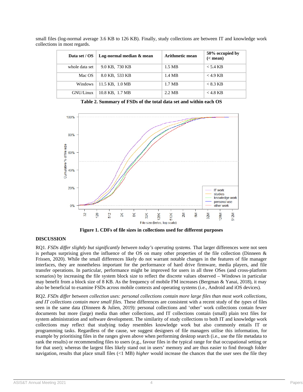| Data set / OS  | Log-normal median & mean | Arithmetic mean | 50% occupied by<br>$(<$ mean) |
|----------------|--------------------------|-----------------|-------------------------------|
| whole data set | 9.0 KB, 730 KB           | 1.5 MB          | $< 5.4$ KB                    |
| Mac OS         | 8.0 KB, 533 KB           | 1.4 MB          | $<$ 4.9 KB                    |
| Windows        | 11.5 KB, 1.0 MB          | 1.7 MB          | $< 8.3 \, \text{KB}$          |
| GNU/Linux      | 10.8 KB, 1.7 MB          | 2.2 MB          | $<$ 4.8 KB                    |

small files (log-normal average 3.6 KB to 126 KB). Finally, study collections are between IT and knowledge work collections in most regards.

**Table 2. Summary of FSDs of the total data set and within each OS**



**Figure 1. CDFs of file sizes in collections used for different purposes**

# **DISCUSSION**

RQ1. *FSDs differ slightly but significantly between today's operating systems.* That larger differences were not seen is perhaps surprising given the influence of the OS on many other properties of the file collection (Dinneen & Frissen, 2020). While the small differences likely do not warrant notable changes in the features of file manager interfaces, they are nonetheless important for the performance of hard drive firmware, media players, and file transfer operations. In particular, performance might be improved for users in all three OSes (and cross-platform scenarios) by increasing the file system block size to reflect the discrete values observed – Windows in particular may benefit from a block size of 8 KB. As the frequency of mobile FM increases (Bergman & Yanai, 2018), it may also be beneficial to examine FSDs across mobile contexts and operating systems (i.e., Android and iOS devices).

RQ2. *FSDs differ between collection uses: personal collections contain more large files than most work collections, and IT collections contain more small files.* These differences are consistent with a recent study of the *types* of files seen in the same data (Dinneen & Julien, 2019): personal collections and 'other' work collections contain fewer documents but more (large) media than other collections, and IT collections contain (small) plain text files for system administration and software development. The similarity of study collections to both IT and knowledge work collections may reflect that studying today resembles knowledge work but also commonly entails IT or programming tasks. Regardless of the cause, we suggest designers of file managers utilise this information, for example by prioritising files in the ranges given above when performing desktop search (i.e., use the file metadata to rank the results) or recommending files to users (e.g., favour files in the typical range for that occupational setting or for that user); whereas the largest files likely stand out in users' memory and are thus easier to find through folder navigation, results that place small files (<1 MB) *higher* would increase the chances that the user sees the file they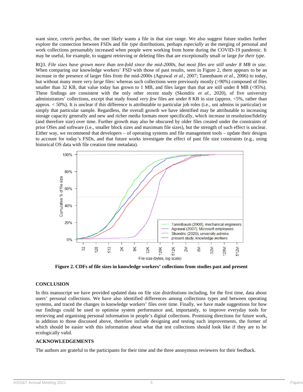want since, *ceteris paribus*, the user likely wants a file in that size range. We also suggest future studies further explore the connection between FSDs and file *type* distributions, perhaps *especially* as the merging of personal and work collections presumably increased when people were working from home during the COVID-19 pandemic. It may be useful, for example, to suggest retrieving or deleting files that are exceptionally small or large *for their type*.

RQ3. *File sizes have grown more than ten-fold since the mid-2000s, but most files are still under 8 MB in size.* When comparing our knowledge workers' FSD with those of past results, seen in Figure 2, there appears to be an increase in the presence of larger files from the mid-2000s (Agrawal *et al.*, 2007; Tanenbaum *et al.*, 2006) to today, but without many more *very large* files: whereas such collections were previously mostly (>90%) composed of files smaller than 32 KB, that value today has grown to 1 MB, and files larger than that are still under 8 MB (<95%). These findings are consistent with the only other recent study (Skondric *et al.*, 2020), of five university administrators' collections, except that study found *very few* files are under 8 KB in size (approx. <5%, rather than approx. < 50%). It is unclear if this difference is attributable to particular job roles (i.e., uni admins in particular) or simply that particular sample. Regardless, the overall growth we have identified may be attributable to increasing storage capacity generally and new and richer media formats more specifically, which increase in resolution/fidelity (and therefore size) over time. Further growth may also be obscured by older files created under the constraints of prior OSes and software (i.e., smaller block sizes and maximum file sizes), but the strength of such effect is unclear. Either way, we recommend that developers – of operating systems and file management tools – update their designs to account for today's FSDs, and that future works investigate the effect of past file size constraints (e.g., using historical OS data with file creation time metadata).



**Figure 2. CDFs of file sizes in knowledge workers' collections from studies past and present**

## **CONCLUSION**

In this manuscript we have provided updated data on file size distributions including, for the first time, data about users' personal collections. We have also identified differences among collections types and between operating systems, and traced the changes in knowledge workers' files over time. Finally, we have made suggestions for how our findings could be used to optimise system performance and, importantly, to improve everyday tools for retrieving and organising personal information in people's digital collections. Promising directions for future work, in addition to those discussed above, therefore include designing and testing such improvements, the former of which should be easier with this information about what that test collections should look like if they are to be ecologically valid.

## **ACKNOWLEDGEMENTS**

The authors are grateful to the participants for their time and the three anonymous reviewers for their feedback.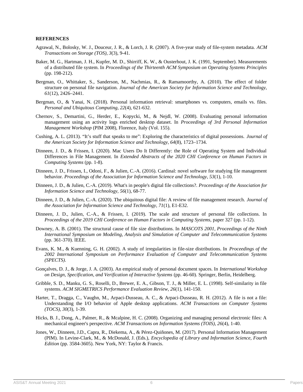#### **REFERENCES**

- Agrawal, N., Bolosky, W. J., Douceur, J. R., & Lorch, J. R. (2007). A five-year study of file-system metadata. *ACM Transactions on Storage (TOS), 3*(3), 9-41.
- Baker, M. G., Hartman, J. H., Kupfer, M. D., Shirriff, K. W., & Ousterhout, J. K. (1991, September). Measurements of a distributed file system. In *Proceedings of the Thirteenth ACM Symposium on Operating Systems Principles* (pp. 198-212).
- Bergman, O., Whittaker, S., Sanderson, M., Nachmias, R., & Ramamoorthy, A. (2010). The effect of folder structure on personal file navigation. *Journal of the American Society for Information Science and Technology, 61*(12), 2426–2441.
- Bergman, O., & Yanai, N. (2018). Personal information retrieval: smartphones vs. computers, emails vs. files. *Personal and Ubiquitous Computing, 22*(4), 621-632.
- Chernov, S., Demartini, G., Herder, E., Kopycki, M., & Nejdl, W. (2008). Evaluating personal information management using an activity logs enriched desktop dataset. In *Proceedings of 3rd Personal Information Management Workshop* (PIM 2008), Florence, Italy (Vol. 155).
- Cushing, A. L. (2013). "It's stuff that speaks to me": Exploring the characteristics of digital possessions. *Journal of the American Society for Information Science and Technology, 64*(8), 1723–1734.
- Dinneen, J. D., & Frissen, I. (2020). Mac Users Do It Differently: the Role of Operating System and Individual Differences in File Management. In *Extended Abstracts of the 2020 CHI Conference on Human Factors in Computing Systems* (pp. 1-8).
- Dinneen, J. D., Frissen, I., Odoni, F., & Julien, C.-A. (2016). Cardinal: novel software for studying file management behavior. *Proceedings of the Association for Information Science and Technology, 53*(1), 1-10.
- Dinneen, J. D., & Julien, C.-A. (2019). What's in people's digital file collections?. *Proceedings of the Association for Information Science and Technology, 56*(1), 68-77.
- Dinneen, J. D., & Julien, C.-A. (2020). The ubiquitous digital file: A review of file management research. *Journal of the Association for Information Science and Technology, 71*(1), E1-E32.
- Dinneen, J. D., Julien, C.-A., & Frissen, I. (2019). The scale and structure of personal file collections. In *Proceedings of the 2019 CHI Conference on Human Factors in Computing Systems, paper 327 (pp. 1-12).*
- Downey, A. B. (2001). The structural cause of file size distributions. In *MASCOTS 2001, Proceedings of the Ninth International Symposium on Modeling, Analysis and Simulation of Computer and Telecommunication Systems* (pp. 361-370). IEEE.
- Evans, K. M., & Kuenning, G. H. (2002). A study of irregularities in file-size distributions. In *Proceedings of the 2002 International Symposium on Performance Evaluation of Computer and Telecommunication Systems (SPECTS)*.
- Gonçalves, D. J., & Jorge, J. A. (2003). An empirical study of personal document spaces. In *International Workshop on Design, Specification, and Verification of Interactive Systems* (pp. 46-60). Springer, Berlin, Heidelberg.
- Gribble, S. D., Manku, G. S., Roselli, D., Brewer, E. A., Gibson, T. J., & Miller, E. L. (1998). Self-similarity in file systems. *ACM SIGMETRICS Performance Evaluation Review, 26*(1), 141-150.
- Harter, T., Dragga, C., Vaughn, M., Arpaci-Dusseau, A. C., & Arpaci-Dusseau, R. H. (2012). A file is not a file: Understanding the I/O behavior of Apple desktop applications. *ACM Transactions on Computer Systems (TOCS), 30*(3), 1-39.
- Hicks, B. J., Dong, A., Palmer, R., & Mcalpine, H. C. (2008). Organizing and managing personal electronic files: A mechanical engineer's perspective. *ACM Transactions on Information Systems (TOIS), 26*(4), 1-40.
- Jones, W., Dinneen, J.D., Capra, R., Diekema, A., & Pérez-Quiñones, M. (2017). Personal Information Management (PIM). In Levine-Clark, M., & McDonald, J. (Eds.), *Encyclopedia of Library and Information Science, Fourth Edition* (pp. 3584-3605). New York, NY: Taylor & Francis.